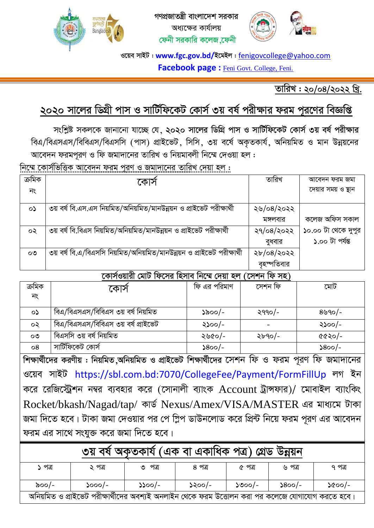

গণপ্রজাতন্ত্রী বাংলাদেশ সরকার অধাক্ষের কার্যালয় ফেনী সরকারি কলেজ ফেনী



ওয়েব সাইট : www.fgc.gov.bd/ইমেইল : <u>fenigovcollege@yahoo.com</u> Facebook page: Feni Govt. College, Feni.

তারিখ: ২০/০৪/২০২২ খ্রি.

# ২০২০ সালের ডিগ্রী পাস ও সার্টিফিকেট কোর্স ৩য় বর্ষ পরীক্ষার ফরম পূরণের বিজ্ঞপ্তি

সংশ্লিষ্ট সকলকে জানানো যাচ্ছে যে, ২০২০ সালের ডিগ্রি পাস ও সার্টিফিকেট কোর্স ৩য় বর্ষ পরীক্ষার বিএ/বিএসএস/বিবিএস/বিএসসি (পাস) প্রাইভেট, সিসি, ৩য় বর্ষে অকৃতকার্য, অনিয়মিত ও মান উন্নয়নের আবেদন ফরমপূরণ ও ফি জমাদানের তারিখ ও নিয়মাবলী নিম্মে দেওয়া হল :

নিম্মে কোর্সভিত্তিক আবেদন ফরম পুরণ ও জমাদানের তারিখ দেয়া হল :

| ক্ৰমিক  | ৰে।ক                                                                    | তারিখ      | আবেদন ফরম জমা       |
|---------|-------------------------------------------------------------------------|------------|---------------------|
| নং      |                                                                         |            | দেয়ার সময় ও স্থান |
|         |                                                                         |            |                     |
| $\circ$ | ৩য় বর্ষ বি.এস.এস নিয়মিত/অনিয়মিত/মানউন্নয়ন ও প্রাইভেট পরীক্ষার্থী    | ২৬/০৪/২০২২ |                     |
|         |                                                                         | মঙ্গলবার   | কলেজ অফিস সকাল      |
| ০২      | ৩য় বর্ষ বি.বিএস নিয়মিত/অনিয়মিত/মানউন্নয়ন ও প্রাইভেট পরীক্ষার্থী     | ২৭/০৪/২০২২ | ১০.০০ টা থেকে দুপুর |
|         |                                                                         | বুধবার     | ১.০০ টা পৰ্যন্ত     |
| $\circ$ | ৩য় বর্ষ বি.এ/বিএসসি নিয়মিত/অনিয়মিত/মানউন্নয়ন ও প্রাইভেট পরীক্ষার্থী | ২৮/০৪/২০২২ |                     |
|         | $\sim$<br>$\sim$ $\sim$<br>$\sim$ $\sim$                                | বহস্পতিবার |                     |

কোর্সওয়ারী মোট ফিসের হিসাব নিম্মে দেয়া হল (সেশন ফি সহ)

| ক্ৰমিক       | কোস                                 | ফি এর পরিমাণ                                                            | সেশন ফি   | মোট                                                                     |
|--------------|-------------------------------------|-------------------------------------------------------------------------|-----------|-------------------------------------------------------------------------|
| নং           |                                     |                                                                         |           |                                                                         |
| $\circ$      | বিএ/বিএসএস/বিবিএস ৩য় বর্ষ নিয়মিত  | ১৯০০/-                                                                  | $2990/$ - | $8$ ৬৭০/-                                                               |
| ০২           | বিএ/বিএসএস/বিবিএস ৩য় বর্ষ প্রাইভেট | ২১০০/-                                                                  |           | ২১০০/-                                                                  |
| $\mathbf{O}$ | বিএসসি ৩য় বর্ষ নিয়মিত             | ২৬৫০/-                                                                  | ২৮৭০/-    | ৫৫২০/-                                                                  |
| $\circ$ 8    | সার্টিফিকেট কোর্স                   | $\textcolor{blue}{\mathcal{S}\mathsf{oo}/\textcolor{red}{\mathcal{E}}}$ |           | $\textcolor{blue}{\mathcal{S}\mathsf{oo}/\textcolor{red}{\mathcal{E}}}$ |

শিক্ষার্থীদের করণীয় : নিয়মিত,অনিয়মিত ও প্রাইভেট শিক্ষার্থীদের সেশন ফি ও ফরম পুরণ ফি জমাদানের ওয়েব সাইট https://sbl.com.bd:7070/CollegeFee/Payment/FormFillUp লগ ইন করে রেজিস্ট্রেশন নম্বর ব্যবহার করে (সোনালী ব্যাংক Account ট্রান্সফার)/ মোবাইল ব্যাংকিং Rocket/bkash/Nagad/tap/ কাৰ্ড Nexus/Amex/VISA/MASTER এর মাধ্যমে টাকা জমা দিতে হবে। টাকা জমা দেওয়ার পর পে স্লিপ ডাউনলোড করে প্রিন্ট নিয়ে ফরম পূরণ এর আবেদন ফরম এর সাথে সংযুক্ত করে জমা দিতে হবে।

| (এক বা একাধিক পত্র) গ্রেড<br>৩য় বষ অকতকায<br>ডন্নয়ন                                            |          |           |        |          |                |                |  |  |
|--------------------------------------------------------------------------------------------------|----------|-----------|--------|----------|----------------|----------------|--|--|
| ১ পত্ৰ                                                                                           | ২ পত্র   | পত্ৰ<br>৩ | ৪ পত্র | ৫ পত্র   | ৬ পত্ৰ         | ৭ পত্র         |  |  |
| ৯০০/-                                                                                            | $5000/-$ | $2200/-$  | ১২০০/- | $5000/-$ | $\delta$ 800/- | $\delta$ ৫০০/- |  |  |
| অনিয়মিত ও প্রাইভেট পরীক্ষার্থীদের অবশ্যই অনলাইন থেকে ফরম উত্তোলন করা পর কলেজে যোগাযোগ করতে হবে। |          |           |        |          |                |                |  |  |